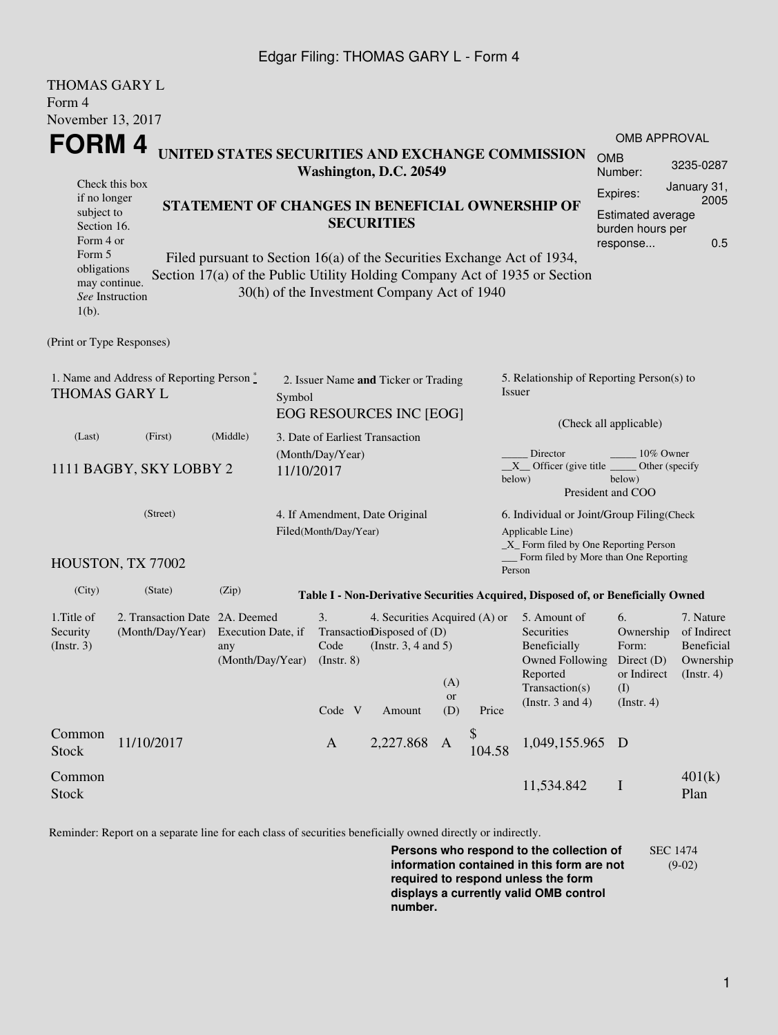## Edgar Filing: THOMAS GARY L - Form 4

| <b>THOMAS GARY L</b>                                                                                                                                                                                                                                                          |                                                    |                                                 |                                                                           |                                                                                                   |                  |              |                                                                                                                                      |                                                                                            |                                                                                |  |  |
|-------------------------------------------------------------------------------------------------------------------------------------------------------------------------------------------------------------------------------------------------------------------------------|----------------------------------------------------|-------------------------------------------------|---------------------------------------------------------------------------|---------------------------------------------------------------------------------------------------|------------------|--------------|--------------------------------------------------------------------------------------------------------------------------------------|--------------------------------------------------------------------------------------------|--------------------------------------------------------------------------------|--|--|
| Form 4                                                                                                                                                                                                                                                                        |                                                    |                                                 |                                                                           |                                                                                                   |                  |              |                                                                                                                                      |                                                                                            |                                                                                |  |  |
| November 13, 2017<br>FORM 4                                                                                                                                                                                                                                                   |                                                    |                                                 |                                                                           |                                                                                                   |                  |              |                                                                                                                                      |                                                                                            | <b>OMB APPROVAL</b>                                                            |  |  |
| UNITED STATES SECURITIES AND EXCHANGE COMMISSION<br>Washington, D.C. 20549<br>Check this box                                                                                                                                                                                  |                                                    |                                                 |                                                                           |                                                                                                   |                  |              |                                                                                                                                      | <b>OMB</b><br>Number:                                                                      | 3235-0287<br>January 31,                                                       |  |  |
| if no longer<br>subject to<br>Section 16.<br>Form 4 or                                                                                                                                                                                                                        |                                                    | STATEMENT OF CHANGES IN BENEFICIAL OWNERSHIP OF | <b>SECURITIES</b>                                                         | Expires:<br><b>Estimated average</b><br>burden hours per<br>response                              | 2005<br>0.5      |              |                                                                                                                                      |                                                                                            |                                                                                |  |  |
| Form 5<br>Filed pursuant to Section 16(a) of the Securities Exchange Act of 1934,<br>obligations<br>Section 17(a) of the Public Utility Holding Company Act of 1935 or Section<br>may continue.<br>30(h) of the Investment Company Act of 1940<br>See Instruction<br>$1(b)$ . |                                                    |                                                 |                                                                           |                                                                                                   |                  |              |                                                                                                                                      |                                                                                            |                                                                                |  |  |
| (Print or Type Responses)                                                                                                                                                                                                                                                     |                                                    |                                                 |                                                                           |                                                                                                   |                  |              |                                                                                                                                      |                                                                                            |                                                                                |  |  |
| 1. Name and Address of Reporting Person $\stackrel{*}{\mathbb{L}}$<br><b>THOMAS GARY L</b>                                                                                                                                                                                    |                                                    |                                                 | 2. Issuer Name and Ticker or Trading<br>Symbol<br>EOG RESOURCES INC [EOG] |                                                                                                   |                  |              | 5. Relationship of Reporting Person(s) to<br>Issuer                                                                                  |                                                                                            |                                                                                |  |  |
| (Last)                                                                                                                                                                                                                                                                        | (First)                                            | (Middle)                                        | 3. Date of Earliest Transaction                                           |                                                                                                   |                  |              |                                                                                                                                      | (Check all applicable)                                                                     |                                                                                |  |  |
| 1111 BAGBY, SKY LOBBY 2                                                                                                                                                                                                                                                       |                                                    |                                                 | (Month/Day/Year)<br>11/10/2017                                            |                                                                                                   |                  |              | 10% Owner<br>Director<br>$X$ Officer (give title $\overline{\phantom{a}}$<br>Other (specify<br>below)<br>below)<br>President and COO |                                                                                            |                                                                                |  |  |
|                                                                                                                                                                                                                                                                               | (Street)                                           |                                                 | 4. If Amendment, Date Original<br>Filed(Month/Day/Year)                   |                                                                                                   |                  |              | 6. Individual or Joint/Group Filing(Check<br>Applicable Line)<br>_X_ Form filed by One Reporting Person                              |                                                                                            |                                                                                |  |  |
|                                                                                                                                                                                                                                                                               | HOUSTON, TX 77002                                  |                                                 |                                                                           |                                                                                                   |                  |              | Form filed by More than One Reporting<br>Person                                                                                      |                                                                                            |                                                                                |  |  |
| (City)                                                                                                                                                                                                                                                                        | (State)                                            | (Zip)                                           |                                                                           |                                                                                                   |                  |              | Table I - Non-Derivative Securities Acquired, Disposed of, or Beneficially Owned                                                     |                                                                                            |                                                                                |  |  |
| 1. Title of<br>Security<br>(Insert. 3)                                                                                                                                                                                                                                        | 2. Transaction Date 2A. Deemed<br>(Month/Day/Year) | Execution Date, if<br>any<br>(Month/Day/Year)   | 3.<br>Code<br>$($ Instr. 8 $)$<br>Code V                                  | 4. Securities Acquired (A) or<br>TransactionDisposed of (D)<br>(Instr. $3, 4$ and $5$ )<br>Amount | (A)<br>or<br>(D) | Price        | 5. Amount of<br>Securities<br>Beneficially<br>Reported<br>Transaction(s)<br>(Instr. $3$ and $4$ )                                    | 6.<br>Ownership<br>Form:<br>Owned Following Direct (D)<br>or Indirect<br>(I)<br>(Instr. 4) | 7. Nature<br>of Indirect<br><b>Beneficial</b><br>Ownership<br>$($ Instr. 4 $)$ |  |  |
| Common<br><b>Stock</b>                                                                                                                                                                                                                                                        | 11/10/2017                                         |                                                 | $\mathbf{A}$                                                              | 2,227.868                                                                                         | A                | \$<br>104.58 | 1,049,155.965 D                                                                                                                      |                                                                                            |                                                                                |  |  |
| Common<br><b>Stock</b>                                                                                                                                                                                                                                                        |                                                    |                                                 |                                                                           |                                                                                                   |                  |              | 11,534.842                                                                                                                           | $\mathbf I$                                                                                | 401(k)<br>Plan                                                                 |  |  |

Reminder: Report on a separate line for each class of securities beneficially owned directly or indirectly.

**Persons who respond to the collection of information contained in this form are not required to respond unless the form displays a currently valid OMB control number.** SEC 1474 (9-02)